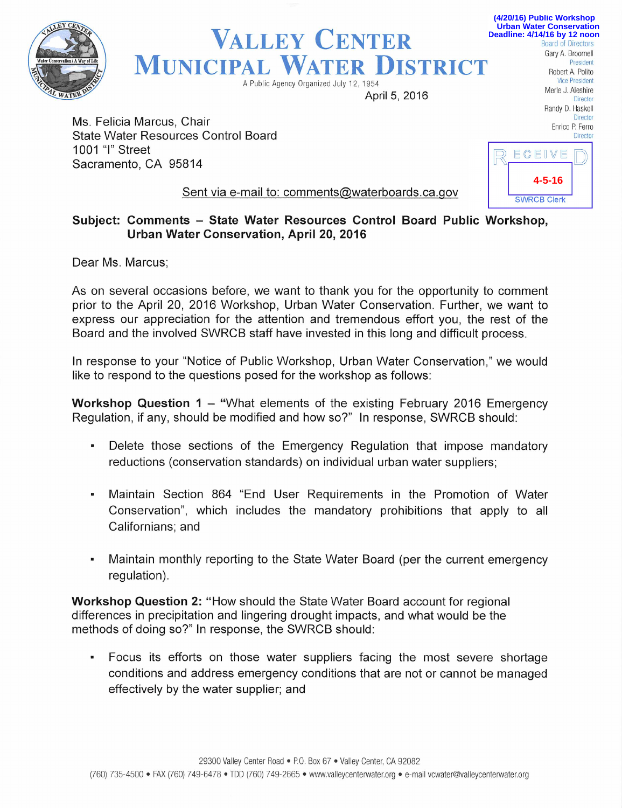

Valley Center **MUNICIPAL WATER DISTRICT** A Public Agency Organized July 12, 1954 Public Agency Organized July 12, 1954 Piesident

April 5, 2016 Director

Ms. Felicia Marcus, Chair State Water Resources Control Board Director Control Board Director 1001 "I" street Sacramento, CA 95814



Board of Directors Gary A. Broomell President Robert A. Polito

**(4/20/16) Public Workshop Urban Water Conservation Deadline: 4/14/16 by 12 noon**

> Randy D. Haskell **Director**

## Sent via e-mail to: comments@waterboards.ca.qov

## Subject: Comments - State Water Resources Control Board Public Workshop, Urban Water Conservation, April 20, 2016

Dear Ms. Marcus;

As on several occasions before, we want to thank you for the opportunity to comment prior to the April 20, 2016 Workshop, Urban Water Conservation. Further, we want to express our appreciation for the attention and tremendous effort you, the rest of the Board and the involved SWRCB staff have invested in this long and difficult process.

In response to your "Notice of Public Workshop, Urban Water Conservation," we would like to respond to the questions posed for the workshop as follows:

**Workshop Question 1 - "What elements of the existing February 2016 Emergency** Regulation, if any, should be modified and how so?" In response, SWRCB should:

- Delete those sections of the Emergency Regulation that impose mandatory reductions (conservation standards) on individual urban water suppliers;
- Maintain Section 864 "End User Requirements in the Promotion of Water Conservation", which includes the mandatory prohibitions that apply to all Californians; and
- Maintain monthly reporting to the State Water Board (per the current emergency regulation).

Workshop Question 2: "How should the State Water Board account for regional differences in precipitation and lingering drought impacts, and what would be the methods of doing so?" In response, the SWRCB should:

• Focus its efforts on those water suppliers facing the most severe shortage conditions and address emergency conditions that are not or cannot be managed effectively by the water supplier; and